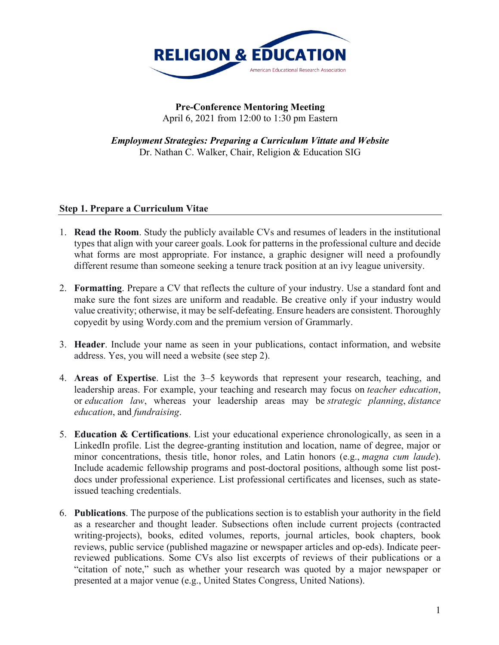

## **Pre-Conference Mentoring Meeting** April 6, 2021 from 12:00 to 1:30 pm Eastern

*Employment Strategies: Preparing a Curriculum Vittate and Website* Dr. Nathan C. Walker, Chair, Religion & Education SIG

## **Step 1. Prepare a Curriculum Vitae**

- 1. **Read the Room**. Study the publicly available CVs and resumes of leaders in the institutional types that align with your career goals. Look for patterns in the professional culture and decide what forms are most appropriate. For instance, a graphic designer will need a profoundly different resume than someone seeking a tenure track position at an ivy league university.
- 2. **Formatting**. Prepare a CV that reflects the culture of your industry. Use a standard font and make sure the font sizes are uniform and readable. Be creative only if your industry would value creativity; otherwise, it may be self-defeating. Ensure headers are consistent. Thoroughly copyedit by using Wordy.com and the premium version of Grammarly.
- 3. **Header**. Include your name as seen in your publications, contact information, and website address. Yes, you will need a website (see step 2).
- 4. **Areas of Expertise**. List the 3–5 keywords that represent your research, teaching, and leadership areas. For example, your teaching and research may focus on *teacher education*, or *education law*, whereas your leadership areas may be *strategic planning*, *distance education*, and *fundraising*.
- 5. **Education & Certifications**. List your educational experience chronologically, as seen in a LinkedIn profile. List the degree-granting institution and location, name of degree, major or minor concentrations, thesis title, honor roles, and Latin honors (e.g., *magna cum laude*). Include academic fellowship programs and post-doctoral positions, although some list postdocs under professional experience. List professional certificates and licenses, such as stateissued teaching credentials.
- 6. **Publications**. The purpose of the publications section is to establish your authority in the field as a researcher and thought leader. Subsections often include current projects (contracted writing-projects), books, edited volumes, reports, journal articles, book chapters, book reviews, public service (published magazine or newspaper articles and op-eds). Indicate peerreviewed publications. Some CVs also list excerpts of reviews of their publications or a "citation of note," such as whether your research was quoted by a major newspaper or presented at a major venue (e.g., United States Congress, United Nations).